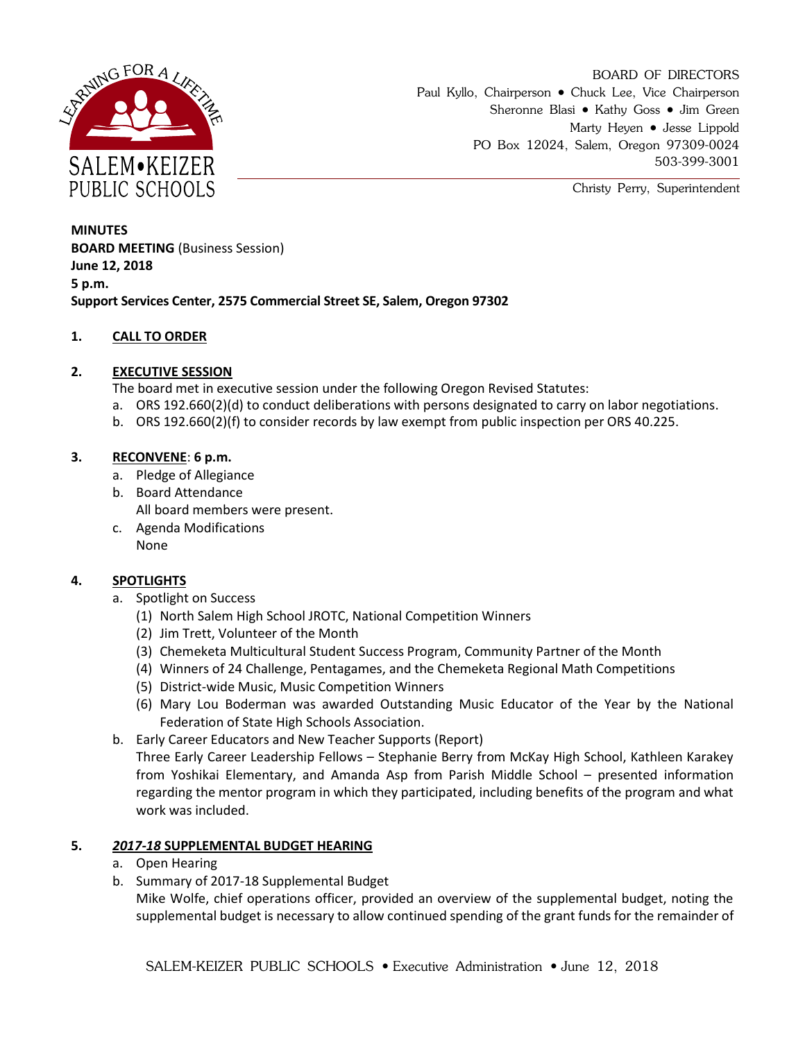

BOARD OF DIRECTORS Paul Kyllo, Chairperson • Chuck Lee, Vice Chairperson Sheronne Blasi • Kathy Goss • Jim Green Marty Heyen • Jesse Lippold PO Box 12024, Salem, Oregon 97309-0024 503-399-3001

Christy Perry, Superintendent

**MINUTES BOARD MEETING** (Business Session) **June 12, 2018 5 p.m. Support Services Center, 2575 Commercial Street SE, Salem, Oregon 97302**

### **1. CALL TO ORDER**

# **2. EXECUTIVE SESSION**

The board met in executive session under the following Oregon Revised Statutes:

- a. ORS 192.660(2)(d) to conduct deliberations with persons designated to carry on labor negotiations.
- b. ORS 192.660(2)(f) to consider records by law exempt from public inspection per ORS 40.225.

### **3. RECONVENE**: **6 p.m.**

- a. Pledge of Allegiance
- b. Board Attendance All board members were present.
- c. Agenda Modifications None

# **4. SPOTLIGHTS**

- a. Spotlight on Success
	- (1) North Salem High School JROTC, National Competition Winners
	- (2) Jim Trett, Volunteer of the Month
	- (3) Chemeketa Multicultural Student Success Program, Community Partner of the Month
	- (4) Winners of 24 Challenge, Pentagames, and the Chemeketa Regional Math Competitions
	- (5) District-wide Music, Music Competition Winners
	- (6) Mary Lou Boderman was awarded Outstanding Music Educator of the Year by the National Federation of State High Schools Association.
- b. Early Career Educators and New Teacher Supports (Report)

Three Early Career Leadership Fellows – Stephanie Berry from McKay High School, Kathleen Karakey from Yoshikai Elementary, and Amanda Asp from Parish Middle School – presented information regarding the mentor program in which they participated, including benefits of the program and what work was included.

### **5.** *2017-18* **SUPPLEMENTAL BUDGET HEARING**

- a. Open Hearing
- b. Summary of 2017-18 Supplemental Budget

Mike Wolfe, chief operations officer, provided an overview of the supplemental budget, noting the supplemental budget is necessary to allow continued spending of the grant funds for the remainder of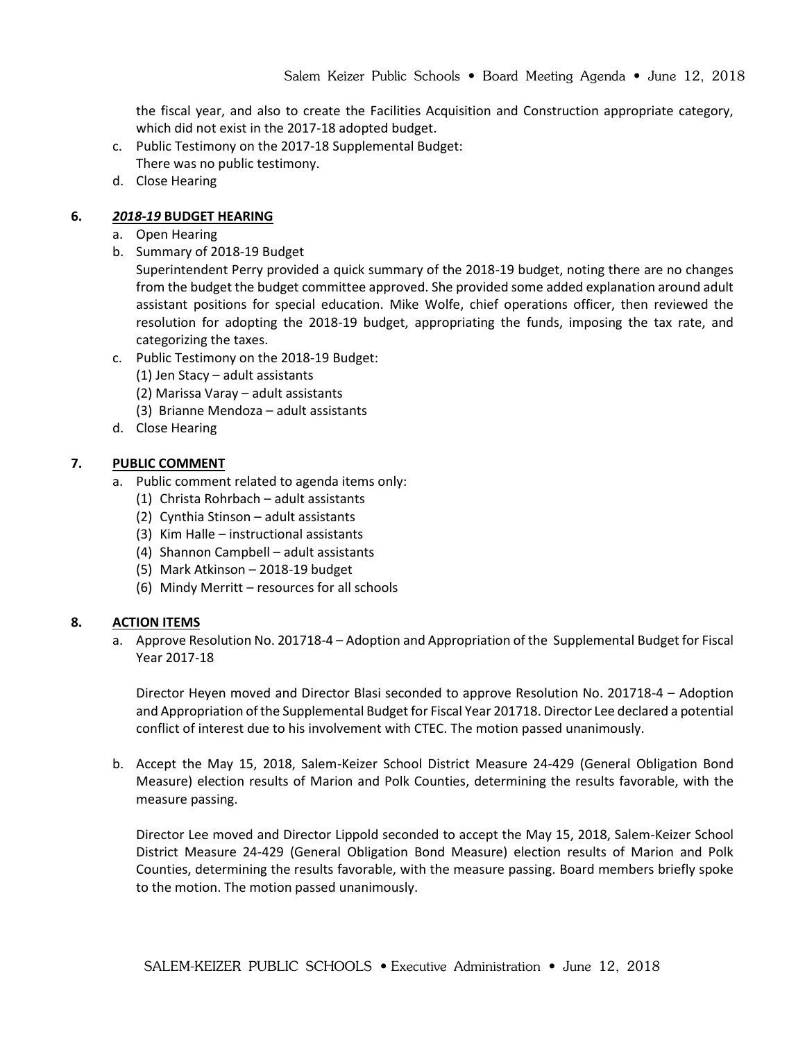the fiscal year, and also to create the Facilities Acquisition and Construction appropriate category, which did not exist in the 2017-18 adopted budget.

- c. Public Testimony on the 2017-18 Supplemental Budget: There was no public testimony.
- d. Close Hearing

#### **6.** *2018-19* **BUDGET HEARING**

- a. Open Hearing
- b. Summary of 2018-19 Budget

Superintendent Perry provided a quick summary of the 2018-19 budget, noting there are no changes from the budget the budget committee approved. She provided some added explanation around adult assistant positions for special education. Mike Wolfe, chief operations officer, then reviewed the resolution for adopting the 2018-19 budget, appropriating the funds, imposing the tax rate, and categorizing the taxes.

- c. Public Testimony on the 2018-19 Budget:
	- (1) Jen Stacy adult assistants
	- (2) Marissa Varay adult assistants
	- (3) Brianne Mendoza adult assistants
- d. Close Hearing

#### **7. PUBLIC COMMENT**

- a. Public comment related to agenda items only:
	- (1) Christa Rohrbach adult assistants
	- (2) Cynthia Stinson adult assistants
	- (3) Kim Halle instructional assistants
	- (4) Shannon Campbell adult assistants
	- (5) Mark Atkinson 2018-19 budget
	- (6) Mindy Merritt resources for all schools

#### **8. ACTION ITEMS**

a. Approve Resolution No. 201718-4 – Adoption and Appropriation of the Supplemental Budget for Fiscal Year 2017-18

Director Heyen moved and Director Blasi seconded to approve Resolution No. 201718-4 – Adoption and Appropriation of the Supplemental Budget for Fiscal Year 201718. Director Lee declared a potential conflict of interest due to his involvement with CTEC. The motion passed unanimously.

b. Accept the May 15, 2018, Salem-Keizer School District Measure 24-429 (General Obligation Bond Measure) election results of Marion and Polk Counties, determining the results favorable, with the measure passing.

Director Lee moved and Director Lippold seconded to accept the May 15, 2018, Salem-Keizer School District Measure 24-429 (General Obligation Bond Measure) election results of Marion and Polk Counties, determining the results favorable, with the measure passing. Board members briefly spoke to the motion. The motion passed unanimously.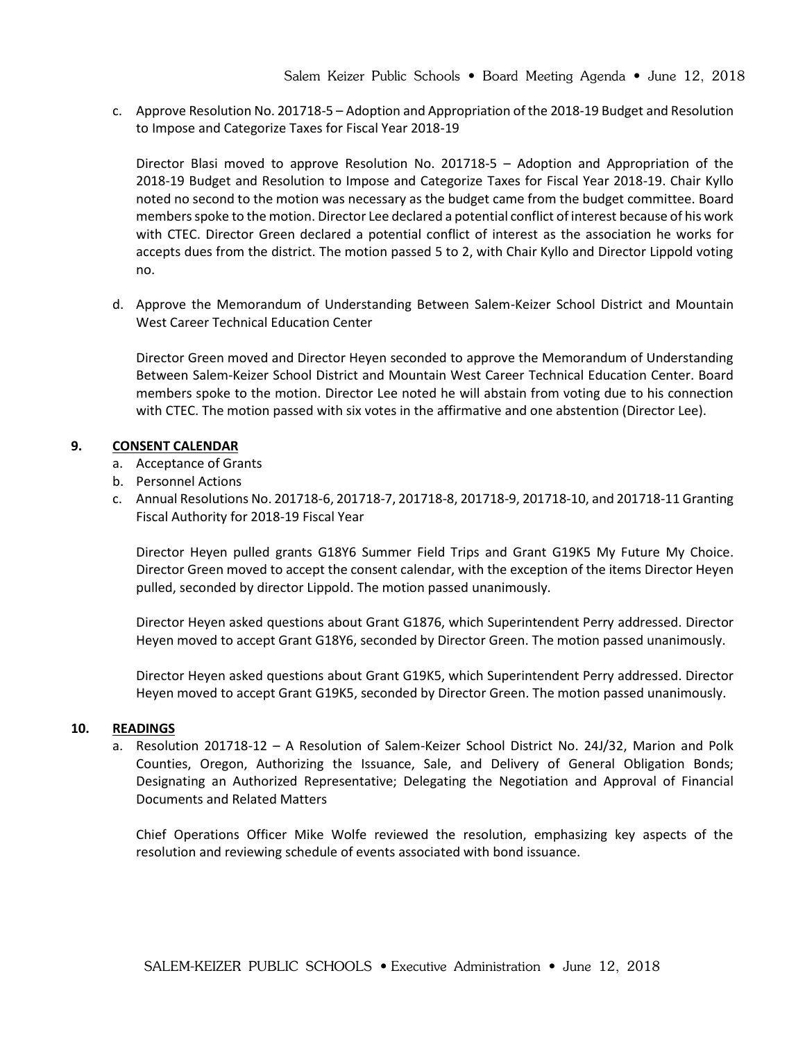c. Approve Resolution No. 201718-5 – Adoption and Appropriation of the 2018-19 Budget and Resolution to Impose and Categorize Taxes for Fiscal Year 2018-19

Director Blasi moved to approve Resolution No. 201718-5 – Adoption and Appropriation of the 2018-19 Budget and Resolution to Impose and Categorize Taxes for Fiscal Year 2018-19. Chair Kyllo noted no second to the motion was necessary as the budget came from the budget committee. Board members spoke to the motion. Director Lee declared a potential conflict of interest because of his work with CTEC. Director Green declared a potential conflict of interest as the association he works for accepts dues from the district. The motion passed 5 to 2, with Chair Kyllo and Director Lippold voting no.

d. Approve the Memorandum of Understanding Between Salem-Keizer School District and Mountain West Career Technical Education Center

Director Green moved and Director Heyen seconded to approve the Memorandum of Understanding Between Salem-Keizer School District and Mountain West Career Technical Education Center. Board members spoke to the motion. Director Lee noted he will abstain from voting due to his connection with CTEC. The motion passed with six votes in the affirmative and one abstention (Director Lee).

### **9. CONSENT CALENDAR**

- a. Acceptance of Grants
- b. Personnel Actions
- c. Annual Resolutions No. 201718-6, 201718-7, 201718-8, 201718-9, 201718-10, and 201718-11 Granting Fiscal Authority for 2018-19 Fiscal Year

Director Heyen pulled grants G18Y6 Summer Field Trips and Grant G19K5 My Future My Choice. Director Green moved to accept the consent calendar, with the exception of the items Director Heyen pulled, seconded by director Lippold. The motion passed unanimously.

Director Heyen asked questions about Grant G1876, which Superintendent Perry addressed. Director Heyen moved to accept Grant G18Y6, seconded by Director Green. The motion passed unanimously.

Director Heyen asked questions about Grant G19K5, which Superintendent Perry addressed. Director Heyen moved to accept Grant G19K5, seconded by Director Green. The motion passed unanimously.

#### **10. READINGS**

a. Resolution 201718-12 – A Resolution of Salem-Keizer School District No. 24J/32, Marion and Polk Counties, Oregon, Authorizing the Issuance, Sale, and Delivery of General Obligation Bonds; Designating an Authorized Representative; Delegating the Negotiation and Approval of Financial Documents and Related Matters

Chief Operations Officer Mike Wolfe reviewed the resolution, emphasizing key aspects of the resolution and reviewing schedule of events associated with bond issuance.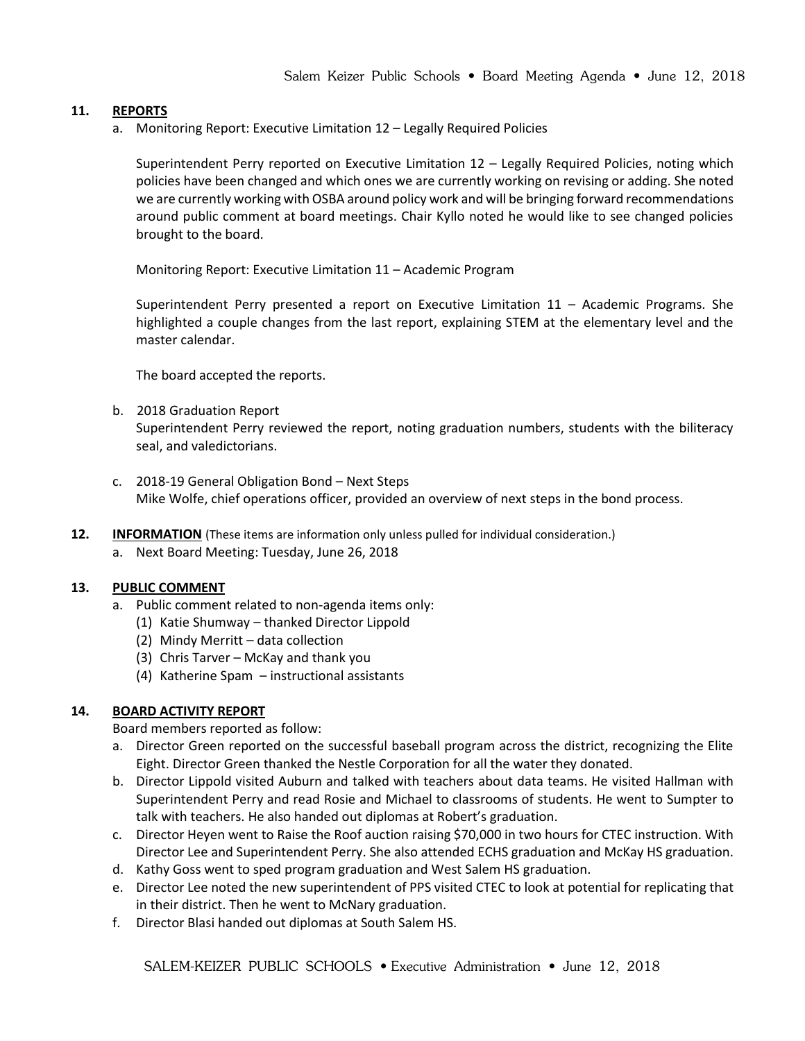## **11. REPORTS**

a. Monitoring Report: Executive Limitation 12 – Legally Required Policies

Superintendent Perry reported on Executive Limitation 12 – Legally Required Policies, noting which policies have been changed and which ones we are currently working on revising or adding. She noted we are currently working with OSBA around policy work and will be bringing forward recommendations around public comment at board meetings. Chair Kyllo noted he would like to see changed policies brought to the board.

Monitoring Report: Executive Limitation 11 – Academic Program

Superintendent Perry presented a report on Executive Limitation 11 – Academic Programs. She highlighted a couple changes from the last report, explaining STEM at the elementary level and the master calendar.

The board accepted the reports.

- b. 2018 Graduation Report Superintendent Perry reviewed the report, noting graduation numbers, students with the biliteracy seal, and valedictorians.
- c. 2018-19 General Obligation Bond Next Steps Mike Wolfe, chief operations officer, provided an overview of next steps in the bond process.
- **12. INFORMATION** (These items are information only unless pulled for individual consideration.)
	- a. Next Board Meeting: Tuesday, June 26, 2018

#### **13. PUBLIC COMMENT**

- a. Public comment related to non-agenda items only:
	- (1) Katie Shumway thanked Director Lippold
	- (2) Mindy Merritt data collection
	- (3) Chris Tarver McKay and thank you
	- (4) Katherine Spam instructional assistants

### **14. BOARD ACTIVITY REPORT**

Board members reported as follow:

- a. Director Green reported on the successful baseball program across the district, recognizing the Elite Eight. Director Green thanked the Nestle Corporation for all the water they donated.
- b. Director Lippold visited Auburn and talked with teachers about data teams. He visited Hallman with Superintendent Perry and read Rosie and Michael to classrooms of students. He went to Sumpter to talk with teachers. He also handed out diplomas at Robert's graduation.
- c. Director Heyen went to Raise the Roof auction raising \$70,000 in two hours for CTEC instruction. With Director Lee and Superintendent Perry. She also attended ECHS graduation and McKay HS graduation.
- d. Kathy Goss went to sped program graduation and West Salem HS graduation.
- e. Director Lee noted the new superintendent of PPS visited CTEC to look at potential for replicating that in their district. Then he went to McNary graduation.
- f. Director Blasi handed out diplomas at South Salem HS.